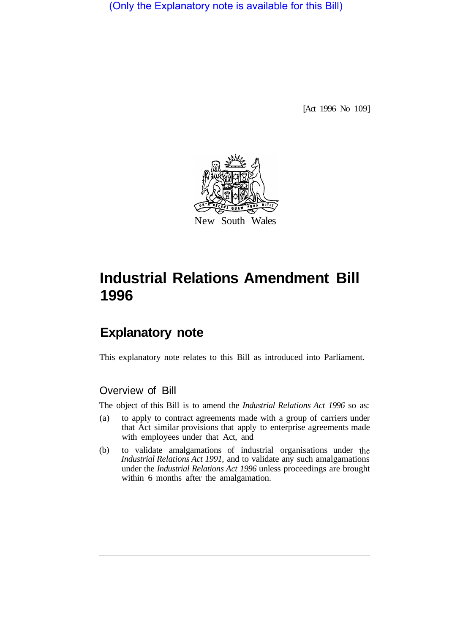(Only the Explanatory note is available for this Bill)

[Act 1996 No 109]



# **Industrial Relations Amendment Bill 1996**

## **Explanatory note**

This explanatory note relates to this Bill as introduced into Parliament.

### Overview of Bill

The object of this Bill is to amend the *Industrial Relations Act 1996* so as:

- (a) to apply to contract agreements made with a group of carriers under that Act similar provisions that apply to enterprise agreements made with employees under that Act, and
- (b) to validate amalgamations of industrial organisations under the *Industrial Relations Act 1991,* and to validate any such amalgamations under the *Industrial Relations Act 1996* unless proceedings are brought within 6 months after the amalgamation.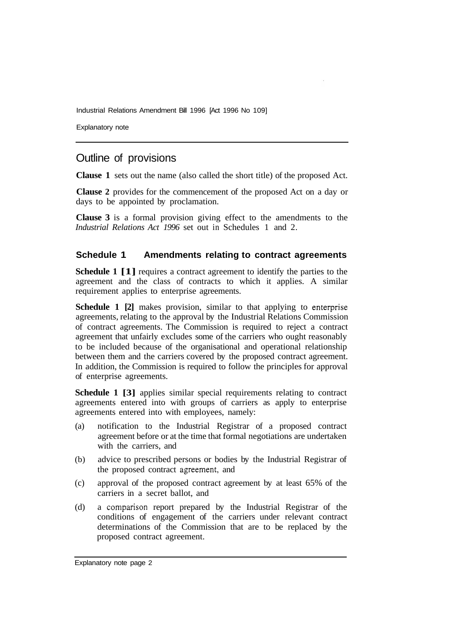Industrial Relations Amendment Bill 1996 [Act 1996 No 109]

Explanatory note

## Outline of provisions

**Clause 1** sets out the name (also called the short title) of the proposed Act.

**Clause 2** provides for the commencement of the proposed Act on a day or days to be appointed by proclamation.

**Clause 3** is a formal provision giving effect to the amendments to the *Industrial Relations Act 1996* set out in Schedules 1 and 2.

#### **Schedule 1 Amendments relating to contract agreements**

**Schedule 1 [1]** requires a contract agreement to identify the parties to the agreement and the class of contracts to which it applies. A similar requirement applies to enterprise agreements.

**Schedule 1 [2]** makes provision, similar to that applying to enterprise agreements, relating to the approval by the Industrial Relations Commission of contract agreements. The Commission is required to reject a contract agreement that unfairly excludes some of the carriers who ought reasonably to be included because of the organisational and operational relationship between them and the carriers covered by the proposed contract agreement. In addition, the Commission is required to follow the principles for approval of enterprise agreements.

**Schedule 1 [3]** applies similar special requirements relating to contract agreements entered into with groups of carriers as apply to enterprise agreements entered into with employees, namely:

- (a) notification to the Industrial Registrar of a proposed contract agreement before or at the time that formal negotiations are undertaken with the carriers, and
- (b) advice to prescribed persons or bodies by the Industrial Registrar of the proposed contract agreement, and
- (c) approval of the proposed contract agreement by at least 65% of the carriers in a secret ballot, and
- (d) a comparison report prepared by the Industrial Registrar of the conditions of engagement of the carriers under relevant contract determinations of the Commission that are to be replaced by the proposed contract agreement.

Explanatory note page 2